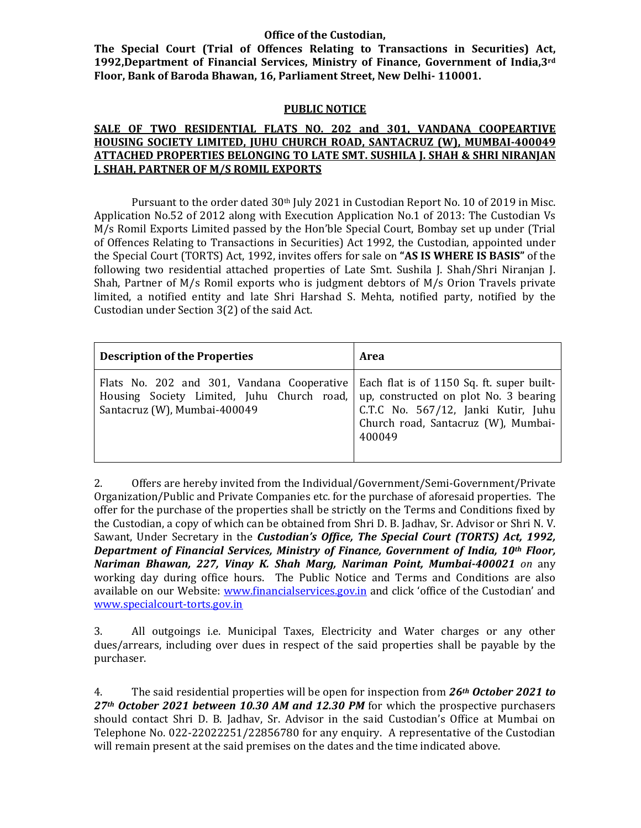### **Office of the Custodian,**

**The Special Court (Trial of Offences Relating to Transactions in Securities) Act, 1992,Department of Financial Services, Ministry of Finance, Government of India,3rd Floor, Bank of Baroda Bhawan, 16, Parliament Street, New Delhi‐ 110001.**

### **PUBLIC NOTICE**

### **SALE OF TWO RESIDENTIAL FLATS NO. 202 and 301, VANDANA COOPEARTIVE HOUSING SOCIETY LIMITED, JUHU CHURCH ROAD, SANTACRUZ (W), MUMBAI‐400049 ATTACHED PROPERTIES BELONGING TO LATE SMT. SUSHILA J. SHAH & SHRI NIRANJAN J. SHAH, PARTNER OF M/S ROMIL EXPORTS**

Pursuant to the order dated  $30<sup>th</sup>$  July 2021 in Custodian Report No. 10 of 2019 in Misc. Application No.52 of 2012 along with Execution Application No.1 of 2013: The Custodian Vs  $M/s$  Romil Exports Limited passed by the Hon'ble Special Court, Bombay set up under (Trial of Offences Relating to Transactions in Securities) Act 1992, the Custodian, appointed under **the Special Court (TORTS) Act, 1992, invites offers for sale on "AS IS WHERE IS BASIS" of the** following two residential attached properties of Late Smt. Sushila J. Shah/Shri Niranjan J. Shah, Partner of  $M/s$  Romil exports who is judgment debtors of  $M/s$  Orion Travels private limited, a notified entity and late Shri Harshad S. Mehta, notified party, notified by the Custodian under Section  $3(2)$  of the said Act.

| <b>Description of the Properties</b>                                                                                     | Area                                                                                                                                                                       |
|--------------------------------------------------------------------------------------------------------------------------|----------------------------------------------------------------------------------------------------------------------------------------------------------------------------|
| Flats No. 202 and 301, Vandana Cooperative<br>Housing Society Limited, Juhu Church road,<br>Santacruz (W), Mumbai-400049 | Each flat is of 1150 Sq. ft. super built-<br>up, constructed on plot No. 3 bearing<br>C.T.C No. 567/12, Janki Kutir, Juhu<br>Church road, Santacruz (W), Mumbai-<br>400049 |

2. Offers are hereby invited from the Individual/Government/Semi-Government/Private Organization/Public and Private Companies etc. for the purchase of aforesaid properties. The offer for the purchase of the properties shall be strictly on the Terms and Conditions fixed by the Custodian, a copy of which can be obtained from Shri D. B. Jadhav, Sr. Advisor or Shri N. V. Sawant, Under Secretary in the *Custodian's Office, The Special Court (TORTS) Act, 1992, Department of Financial Services, Ministry of Finance, Government of India, 10th Floor, Nariman Bhawan, 227, Vinay K. Shah Marg, Nariman Point, Mumbai‐400021 on* any working day during office hours. The Public Notice and Terms and Conditions are also available on our Website: www.financialservices.gov.in and click 'office of the Custodian' and www.specialcourt‐torts.gov.in

3. All outgoings i.e. Municipal Taxes, Electricity and Water charges or any other dues/arrears, including over dues in respect of the said properties shall be payable by the purchaser. 

4. The said residential properties will be open for inspection from 26<sup>th</sup> October 2021 to *27th October 2021 between 10.30 AM and 12.30 PM* for which the prospective purchasers should contact Shri D. B. Jadhav, Sr. Advisor in the said Custodian's Office at Mumbai on Telephone No. 022-22022251/22856780 for any enquiry. A representative of the Custodian will remain present at the said premises on the dates and the time indicated above.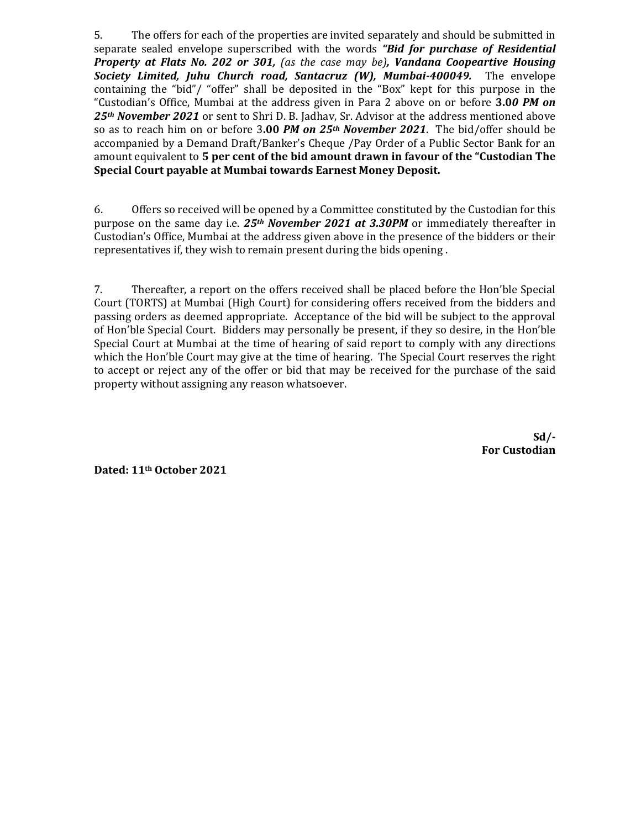5. The offers for each of the properties are invited separately and should be submitted in separate sealed envelope superscribed with the words *"Bid for purchase of Residential Property at Flats No. 202 or 301, (as the case may be), Vandana Coopeartive Housing Society Limited, Juhu Church road, Santacruz (W), Mumbai‐400049.* The envelope containing the "bid"/ "offer" shall be deposited in the "Box" kept for this purpose in the "Custodian's Office, Mumbai at the address given in Para 2 above on or before **3.0***0 PM on* 25<sup>th</sup> November 2021 or sent to Shri D. B. Jadhav, Sr. Advisor at the address mentioned above so as to reach him on or before 3.00 *PM on 25<sup>th</sup> November 2021*. The bid/offer should be accompanied by a Demand Draft/Banker's Cheque /Pay Order of a Public Sector Bank for an amount equivalent to **5 per cent of the bid amount drawn in favour of the "Custodian The Special Court payable at Mumbai towards Earnest Money Deposit.** 

6. Offers so received will be opened by a Committee constituted by the Custodian for this purpose on the same day i.e. 25<sup>th</sup> November 2021 at 3.30PM or immediately thereafter in Custodian's Office, Mumbai at the address given above in the presence of the bidders or their representatives if, they wish to remain present during the bids opening.

7. Thereafter, a report on the offers received shall be placed before the Hon'ble Special Court (TORTS) at Mumbai (High Court) for considering offers received from the bidders and passing orders as deemed appropriate. Acceptance of the bid will be subject to the approval of Hon'ble Special Court. Bidders may personally be present, if they so desire, in the Hon'ble Special Court at Mumbai at the time of hearing of said report to comply with any directions which the Hon'ble Court may give at the time of hearing. The Special Court reserves the right to accept or reject any of the offer or bid that may be received for the purchase of the said property without assigning any reason whatsoever.

> **Sd/‐ For Custodian**

**Dated: 11th October 2021**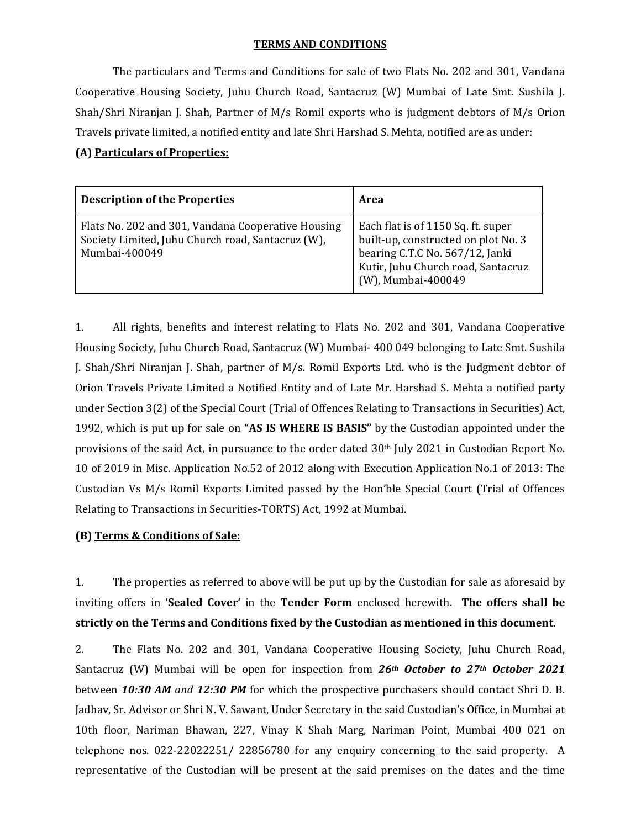### **TERMS AND CONDITIONS**

The particulars and Terms and Conditions for sale of two Flats No. 202 and 301, Vandana Cooperative Housing Society, Juhu Church Road, Santacruz (W) Mumbai of Late Smt. Sushila J. Shah/Shri Niranjan J. Shah, Partner of  $M/s$  Romil exports who is judgment debtors of  $M/s$  Orion Travels private limited, a notified entity and late Shri Harshad S. Mehta, notified are as under:

### **(A) Particulars of Properties:**

| <b>Description of the Properties</b>                                                                                     | Area                                                                                                                                                                     |
|--------------------------------------------------------------------------------------------------------------------------|--------------------------------------------------------------------------------------------------------------------------------------------------------------------------|
| Flats No. 202 and 301, Vandana Cooperative Housing<br>Society Limited, Juhu Church road, Santacruz (W),<br>Mumbai-400049 | Each flat is of 1150 Sq. ft. super<br>built-up, constructed on plot No. 3<br>bearing C.T.C No. 567/12, Janki<br>Kutir, Juhu Church road, Santacruz<br>(W), Mumbai-400049 |

1. All rights, benefits and interest relating to Flats No. 202 and 301, Vandana Cooperative Housing Society, Juhu Church Road, Santacruz (W) Mumbai- 400 049 belonging to Late Smt. Sushila J. Shah/Shri Niranjan J. Shah, partner of M/s. Romil Exports Ltd. who is the Judgment debtor of Orion Travels Private Limited a Notified Entity and of Late Mr. Harshad S. Mehta a notified party under Section 3(2) of the Special Court (Trial of Offences Relating to Transactions in Securities) Act, 1992, which is put up for sale on "AS IS WHERE IS BASIS" by the Custodian appointed under the provisions of the said Act, in pursuance to the order dated 30<sup>th</sup> July 2021 in Custodian Report No. 10 of 2019 in Misc. Application No.52 of 2012 along with Execution Application No.1 of 2013: The Custodian Vs M/s Romil Exports Limited passed by the Hon'ble Special Court (Trial of Offences Relating to Transactions in Securities-TORTS) Act, 1992 at Mumbai.

### **(B) Terms & Conditions of Sale:**

1. The properties as referred to above will be put up by the Custodian for sale as aforesaid by inviting offers in **'Sealed Cover'** in the **Tender Form** enclosed herewith. **The offers shall be strictly on the Terms and Conditions fixed by the Custodian as mentioned in this document.**

2. The Flats No. 202 and 301, Vandana Cooperative Housing Society, Juhu Church Road, Santacruz (W) Mumbai will be open for inspection from 26<sup>th</sup> October to 27<sup>th</sup> October 2021 between **10:30 AM** and **12:30 PM** for which the prospective purchasers should contact Shri D. B. Jadhav, Sr. Advisor or Shri N. V. Sawant, Under Secretary in the said Custodian's Office, in Mumbai at 10th floor, Nariman Bhawan, 227, Vinay K Shah Marg, Nariman Point, Mumbai 400 021 on telephone nos.  $022-22022251/22856780$  for any enquiry concerning to the said property. A representative of the Custodian will be present at the said premises on the dates and the time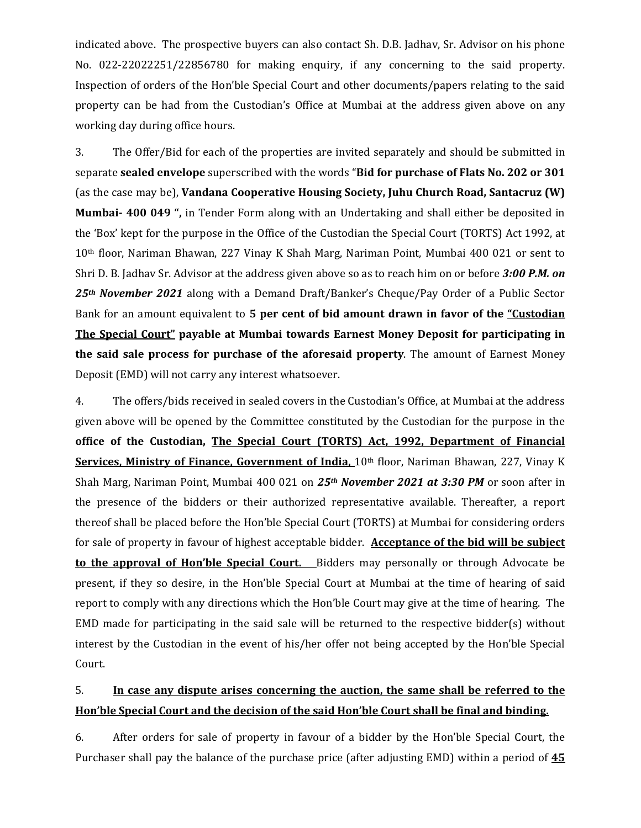indicated above. The prospective buyers can also contact Sh. D.B. Jadhav, Sr. Advisor on his phone No. 022-22022251/22856780 for making enquiry, if any concerning to the said property. Inspection of orders of the Hon'ble Special Court and other documents/papers relating to the said property can be had from the Custodian's Office at Mumbai at the address given above on any working day during office hours.

3. The Offer/Bid for each of the properties are invited separately and should be submitted in separate **sealed envelope** superscribed with the words "**Bid for purchase of Flats No. 202 or 301** (as the case may be), **Vandana Cooperative Housing Society, Juhu Church Road, Santacruz (W) Mumbai- 400 049** ", in Tender Form along with an Undertaking and shall either be deposited in the 'Box' kept for the purpose in the Office of the Custodian the Special Court (TORTS) Act 1992, at 10<sup>th</sup> floor, Nariman Bhawan, 227 Vinay K Shah Marg, Nariman Point, Mumbai 400 021 or sent to Shri D. B. Jadhav Sr. Advisor at the address given above so as to reach him on or before 3:00 *P.M.* on 25<sup>th</sup> November 2021 along with a Demand Draft/Banker's Cheque/Pay Order of a Public Sector Bank for an amount equivalent to **5 per cent of bid amount drawn in favor of the "Custodian The Special Court" payable at Mumbai towards Earnest Money Deposit for participating in the said sale process for purchase of the aforesaid property**. The amount of Earnest Money Deposit (EMD) will not carry any interest whatsoever.

4. The offers/bids received in sealed covers in the Custodian's Office, at Mumbai at the address given above will be opened by the Committee constituted by the Custodian for the purpose in the **office of the Custodian, The Special Court (TORTS) Act, 1992, Department of Financial Services, Ministry of Finance, Government of India, 10<sup>th</sup> floor, Nariman Bhawan, 227, Vinay K** Shah Marg, Nariman Point, Mumbai 400 021 on 25<sup>th</sup> *November* 2021 at 3:30 PM or soon after in the presence of the bidders or their authorized representative available. Thereafter, a report thereof shall be placed before the Hon'ble Special Court (TORTS) at Mumbai for considering orders for sale of property in favour of highest acceptable bidder. **Acceptance of the bid will be subject to** the **approval of Hon'ble Special Court.** Bidders may personally or through Advocate be present, if they so desire, in the Hon'ble Special Court at Mumbai at the time of hearing of said report to comply with any directions which the Hon'ble Court may give at the time of hearing. The EMD made for participating in the said sale will be returned to the respective bidder(s) without interest by the Custodian in the event of his/her offer not being accepted by the Hon'ble Special Court. 

## 5. **In case any dispute arises concerning the auction, the same shall be referred to the Hon'ble Special Court and the decision of the said Hon'ble Court shall be final and binding.**

6. After orders for sale of property in favour of a bidder by the Hon'ble Special Court, the Purchaser shall pay the balance of the purchase price (after adjusting EMD) within a period of  $\overline{45}$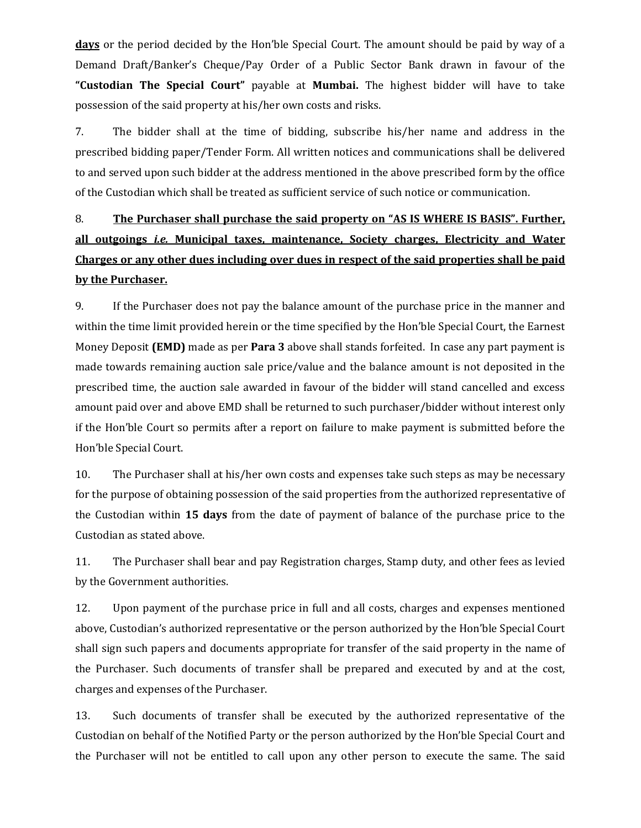**days** or the period decided by the Hon'ble Special Court. The amount should be paid by way of a Demand Draft/Banker's Cheque/Pay Order of a Public Sector Bank drawn in favour of the **"Custodian The Special Court"** payable at **Mumbai.** The highest bidder will have to take possession of the said property at his/her own costs and risks.

7. The bidder shall at the time of bidding, subscribe his/her name and address in the prescribed bidding paper/Tender Form. All written notices and communications shall be delivered to and served upon such bidder at the address mentioned in the above prescribed form by the office of the Custodian which shall be treated as sufficient service of such notice or communication.

# 8. **The Purchaser shall purchase the said property on "AS IS WHERE IS BASIS". Further, all outgoings** *i.e.* **Municipal taxes, maintenance, Society charges, Electricity and Water Charges or any other dues including over dues in respect of the said properties shall be paid by the Purchaser.**

9. If the Purchaser does not pay the balance amount of the purchase price in the manner and within the time limit provided herein or the time specified by the Hon'ble Special Court, the Earnest Money Deposit **(EMD)** made as per **Para** 3 above shall stands forfeited. In case any part payment is made towards remaining auction sale price/value and the balance amount is not deposited in the prescribed time, the auction sale awarded in favour of the bidder will stand cancelled and excess amount paid over and above EMD shall be returned to such purchaser/bidder without interest only if the Hon'ble Court so permits after a report on failure to make payment is submitted before the Hon'ble Special Court.

10. The Purchaser shall at his/her own costs and expenses take such steps as may be necessary for the purpose of obtaining possession of the said properties from the authorized representative of the Custodian within 15 days from the date of payment of balance of the purchase price to the Custodian as stated above.

11. The Purchaser shall bear and pay Registration charges, Stamp duty, and other fees as levied by the Government authorities.

12. Upon payment of the purchase price in full and all costs, charges and expenses mentioned above, Custodian's authorized representative or the person authorized by the Hon'ble Special Court shall sign such papers and documents appropriate for transfer of the said property in the name of the Purchaser. Such documents of transfer shall be prepared and executed by and at the cost, charges and expenses of the Purchaser.

13. Such documents of transfer shall be executed by the authorized representative of the Custodian on behalf of the Notified Party or the person authorized by the Hon'ble Special Court and the Purchaser will not be entitled to call upon any other person to execute the same. The said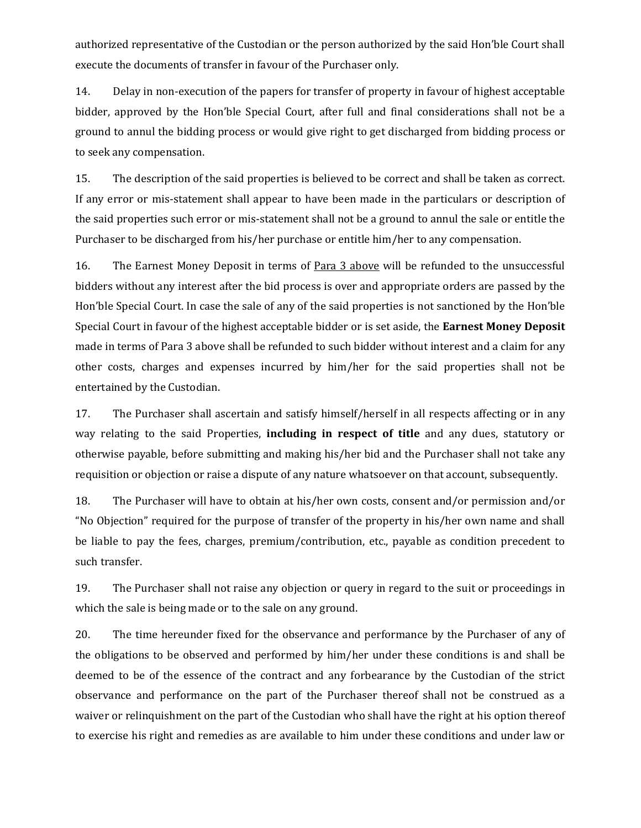authorized representative of the Custodian or the person authorized by the said Hon'ble Court shall execute the documents of transfer in favour of the Purchaser only.

14. Delay in non-execution of the papers for transfer of property in favour of highest acceptable bidder, approved by the Hon'ble Special Court, after full and final considerations shall not be a ground to annul the bidding process or would give right to get discharged from bidding process or to seek any compensation.

15. The description of the said properties is believed to be correct and shall be taken as correct. If any error or mis-statement shall appear to have been made in the particulars or description of the said properties such error or mis-statement shall not be a ground to annul the sale or entitle the Purchaser to be discharged from his/her purchase or entitle him/her to any compensation.

16. The Earnest Money Deposit in terms of Para 3 above will be refunded to the unsuccessful bidders without any interest after the bid process is over and appropriate orders are passed by the Hon'ble Special Court. In case the sale of any of the said properties is not sanctioned by the Hon'ble Special Court in favour of the highest acceptable bidder or is set aside, the **Earnest Money Deposit** made in terms of Para 3 above shall be refunded to such bidder without interest and a claim for any other costs, charges and expenses incurred by him/her for the said properties shall not be entertained by the Custodian.

17. The Purchaser shall ascertain and satisfy himself/herself in all respects affecting or in any way relating to the said Properties, **including in respect of title** and any dues, statutory or otherwise payable, before submitting and making his/her bid and the Purchaser shall not take any requisition or objection or raise a dispute of any nature whatsoever on that account, subsequently.

18. The Purchaser will have to obtain at his/her own costs, consent and/or permission and/or "No Objection" required for the purpose of transfer of the property in his/her own name and shall be liable to pay the fees, charges, premium/contribution, etc., payable as condition precedent to such transfer.

19. The Purchaser shall not raise any objection or query in regard to the suit or proceedings in which the sale is being made or to the sale on any ground.

20. The time hereunder fixed for the observance and performance by the Purchaser of any of the obligations to be observed and performed by him/her under these conditions is and shall be deemed to be of the essence of the contract and any forbearance by the Custodian of the strict observance and performance on the part of the Purchaser thereof shall not be construed as a waiver or relinquishment on the part of the Custodian who shall have the right at his option thereof to exercise his right and remedies as are available to him under these conditions and under law or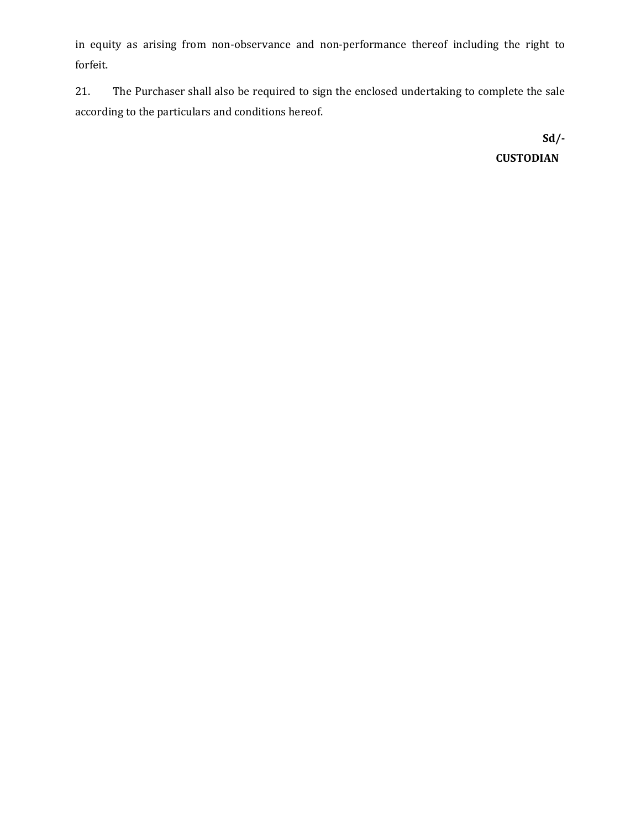in equity as arising from non-observance and non-performance thereof including the right to forfeit. 

21. The Purchaser shall also be required to sign the enclosed undertaking to complete the sale according to the particulars and conditions hereof.

> **Sd/‐ CUSTODIAN**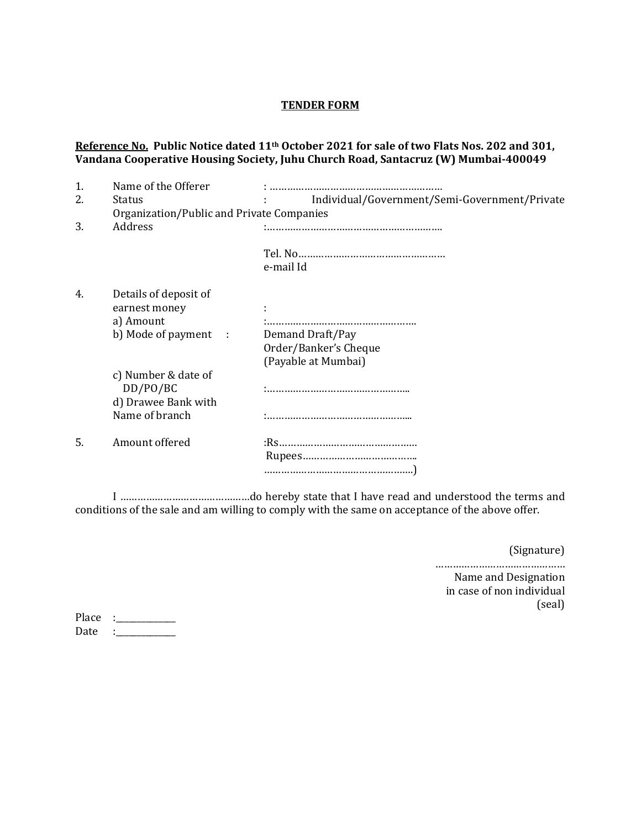### **TENDER FORM**

## **Reference No. Public Notice dated 11th October 2021 for sale of two Flats Nos. 202 and 301, Vandana Cooperative Housing Society, Juhu Church Road, Santacruz (W) Mumbai‐400049**

| 1. | Name of the Offerer                                                      |                                                                         |
|----|--------------------------------------------------------------------------|-------------------------------------------------------------------------|
| 2. | <b>Status</b>                                                            | Individual/Government/Semi-Government/Private                           |
|    | Organization/Public and Private Companies                                |                                                                         |
| 3. | Address                                                                  |                                                                         |
|    |                                                                          | e-mail Id                                                               |
| 4. | Details of deposit of<br>earnest money<br>a) Amount                      |                                                                         |
|    | b) Mode of payment :                                                     | Demand Draft/Pay<br>Order/Banker's Cheque<br>(Payable at Mumbai)        |
|    | c) Number & date of<br>DD/PO/BC<br>d) Drawee Bank with<br>Name of branch |                                                                         |
| 5. | Amount offered                                                           | $\bf \textit{Rupees}.\textit{}.\textit{}.\textit{}.\textit{}.\textit{}$ |

 I ………………………………………do hereby state that I have read and understood the terms and conditions of the sale and am willing to comply with the same on acceptance of the above offer.

 (Signature) 

……………………………………… Name and Designation in case of non individual (seal) 

| Place |  |
|-------|--|
| Date  |  |